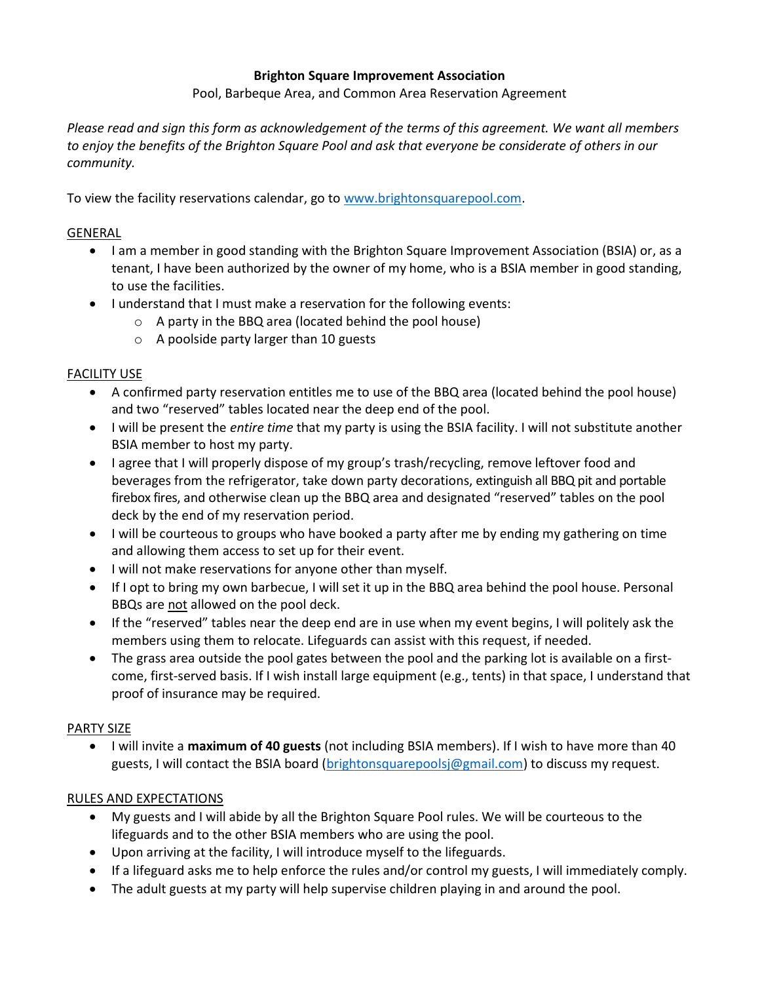#### Brighton Square Improvement Association

Pool, Barbeque Area, and Common Area Reservation Agreement

Please read and sign this form as acknowledgement of the terms of this agreement. We want all members to enjoy the benefits of the Brighton Square Pool and ask that everyone be considerate of others in our community.

To view the facility reservations calendar, go to www.brightonsquarepool.com.

### GENERAL

- I am a member in good standing with the Brighton Square Improvement Association (BSIA) or, as a tenant, I have been authorized by the owner of my home, who is a BSIA member in good standing, to use the facilities.
- I understand that I must make a reservation for the following events:
	- o A party in the BBQ area (located behind the pool house)
	- o A poolside party larger than 10 guests

### FACILITY USE

- A confirmed party reservation entitles me to use of the BBQ area (located behind the pool house) and two "reserved" tables located near the deep end of the pool.
- I will be present the *entire time* that my party is using the BSIA facility. I will not substitute another BSIA member to host my party.
- I agree that I will properly dispose of my group's trash/recycling, remove leftover food and beverages from the refrigerator, take down party decorations, extinguish all BBQ pit and portable firebox fires, and otherwise clean up the BBQ area and designated "reserved" tables on the pool deck by the end of my reservation period.
- I will be courteous to groups who have booked a party after me by ending my gathering on time and allowing them access to set up for their event.
- I will not make reservations for anyone other than myself.
- If I opt to bring my own barbecue, I will set it up in the BBQ area behind the pool house. Personal BBQs are not allowed on the pool deck.
- If the "reserved" tables near the deep end are in use when my event begins, I will politely ask the members using them to relocate. Lifeguards can assist with this request, if needed.
- The grass area outside the pool gates between the pool and the parking lot is available on a firstcome, first-served basis. If I wish install large equipment (e.g., tents) in that space, I understand that proof of insurance may be required.

#### PARTY SIZE

• I will invite a maximum of 40 guests (not including BSIA members). If I wish to have more than 40 guests, I will contact the BSIA board (brightonsquarepoolsj@gmail.com) to discuss my request.

### RULES AND EXPECTATIONS

- My guests and I will abide by all the Brighton Square Pool rules. We will be courteous to the lifeguards and to the other BSIA members who are using the pool.
- Upon arriving at the facility, I will introduce myself to the lifeguards.
- If a lifeguard asks me to help enforce the rules and/or control my guests, I will immediately comply.
- The adult guests at my party will help supervise children playing in and around the pool.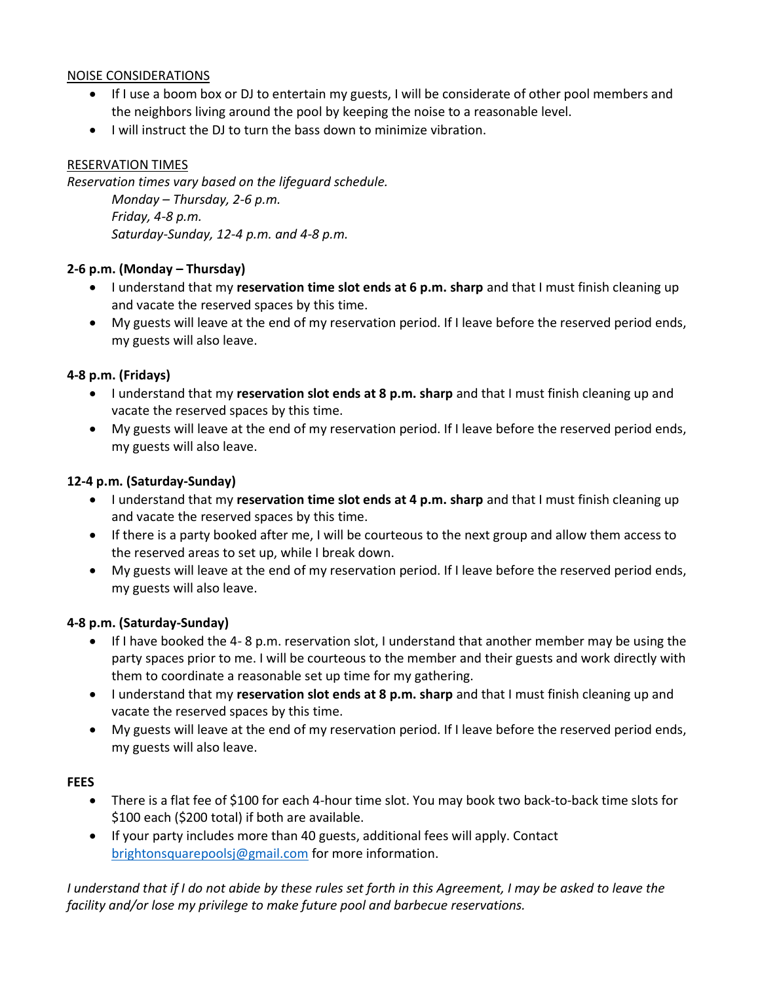### NOISE CONSIDERATIONS

- If I use a boom box or DJ to entertain my guests, I will be considerate of other pool members and the neighbors living around the pool by keeping the noise to a reasonable level.
- I will instruct the DJ to turn the bass down to minimize vibration.

# RESERVATION TIMES

Reservation times vary based on the lifeguard schedule. Monday – Thursday, 2-6 p.m. Friday, 4-8 p.m. Saturday-Sunday, 12-4 p.m. and 4-8 p.m.

## 2-6 p.m. (Monday – Thursday)

- I understand that my reservation time slot ends at 6 p.m. sharp and that I must finish cleaning up and vacate the reserved spaces by this time.
- My guests will leave at the end of my reservation period. If I leave before the reserved period ends, my guests will also leave.

## 4-8 p.m. (Fridays)

- I understand that my reservation slot ends at 8 p.m. sharp and that I must finish cleaning up and vacate the reserved spaces by this time.
- My guests will leave at the end of my reservation period. If I leave before the reserved period ends, my guests will also leave.

### 12-4 p.m. (Saturday-Sunday)

- $\bullet$  I understand that my reservation time slot ends at 4 p.m. sharp and that I must finish cleaning up and vacate the reserved spaces by this time.
- If there is a party booked after me, I will be courteous to the next group and allow them access to the reserved areas to set up, while I break down.
- My guests will leave at the end of my reservation period. If I leave before the reserved period ends, my guests will also leave.

# 4-8 p.m. (Saturday-Sunday)

- If I have booked the 4- 8 p.m. reservation slot, I understand that another member may be using the party spaces prior to me. I will be courteous to the member and their guests and work directly with them to coordinate a reasonable set up time for my gathering.
- I understand that my reservation slot ends at 8 p.m. sharp and that I must finish cleaning up and vacate the reserved spaces by this time.
- My guests will leave at the end of my reservation period. If I leave before the reserved period ends, my guests will also leave.

### FEES

- There is a flat fee of \$100 for each 4-hour time slot. You may book two back-to-back time slots for \$100 each (\$200 total) if both are available.
- If your party includes more than 40 guests, additional fees will apply. Contact brightonsquarepoolsj@gmail.com for more information.

I understand that if I do not abide by these rules set forth in this Agreement, I may be asked to leave the facility and/or lose my privilege to make future pool and barbecue reservations.